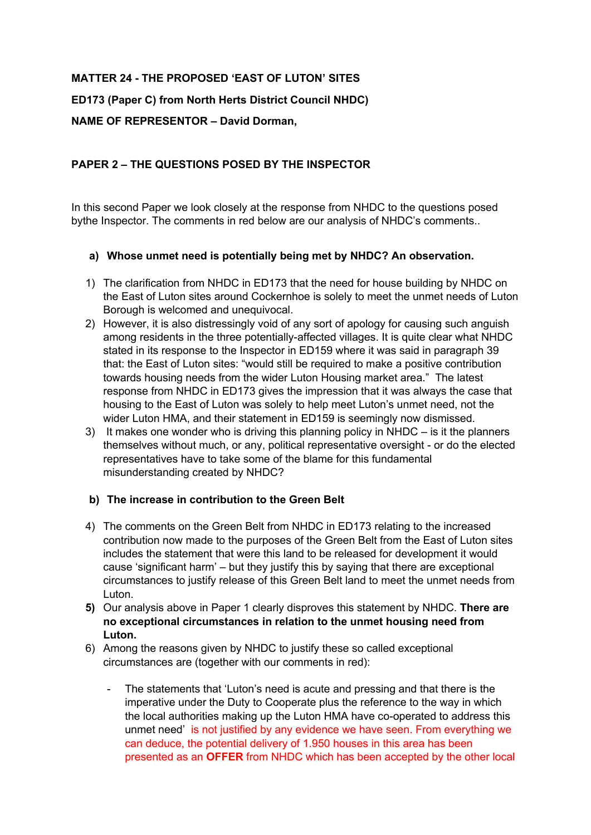# **MATTER 24 - THE PROPOSED 'EAST OF LUTON' SITES**

**ED173 (Paper C) from North Herts District Council NHDC)**

# **NAME OF REPRESENTOR – David Dorman,**

# **PAPER 2 – THE QUESTIONS POSED BY THE INSPECTOR**

In this second Paper we look closely at the response from NHDC to the questions posed bythe Inspector. The comments in red below are our analysis of NHDC's comments..

## **a) Whose unmet need is potentially being met by NHDC? An observation.**

- 1) The clarification from NHDC in ED173 that the need for house building by NHDC on the East of Luton sites around Cockernhoe is solely to meet the unmet needs of Luton Borough is welcomed and unequivocal.
- 2) However, it is also distressingly void of any sort of apology for causing such anguish among residents in the three potentially-affected villages. It is quite clear what NHDC stated in its response to the Inspector in ED159 where it was said in paragraph 39 that: the East of Luton sites: "would still be required to make a positive contribution towards housing needs from the wider Luton Housing market area." The latest response from NHDC in ED173 gives the impression that it was always the case that housing to the East of Luton was solely to help meet Luton's unmet need, not the wider Luton HMA, and their statement in ED159 is seemingly now dismissed.
- 3) It makes one wonder who is driving this planning policy in  $NHDC -$  is it the planners themselves without much, or any, political representative oversight - or do the elected representatives have to take some of the blame for this fundamental misunderstanding created by NHDC?

## **b) The increase in contribution to the Green Belt**

- 4) The comments on the Green Belt from NHDC in ED173 relating to the increased contribution now made to the purposes of the Green Belt from the East of Luton sites includes the statement that were this land to be released for development it would cause 'significant harm' – but they justify this by saying that there are exceptional circumstances to justify release of this Green Belt land to meet the unmet needs from Luton.
- **5)** Our analysis above in Paper 1 clearly disproves this statement by NHDC. **There are no exceptional circumstances in relation to the unmet housing need from Luton.**
- 6) Among the reasons given by NHDC to justify these so called exceptional circumstances are (together with our comments in red):
	- The statements that 'Luton's need is acute and pressing and that there is the imperative under the Duty to Cooperate plus the reference to the way in which the local authorities making up the Luton HMA have co-operated to address this unmet need' is not justified by any evidence we have seen. From everything we can deduce, the potential delivery of 1.950 houses in this area has been presented as an **OFFER** from NHDC which has been accepted by the other local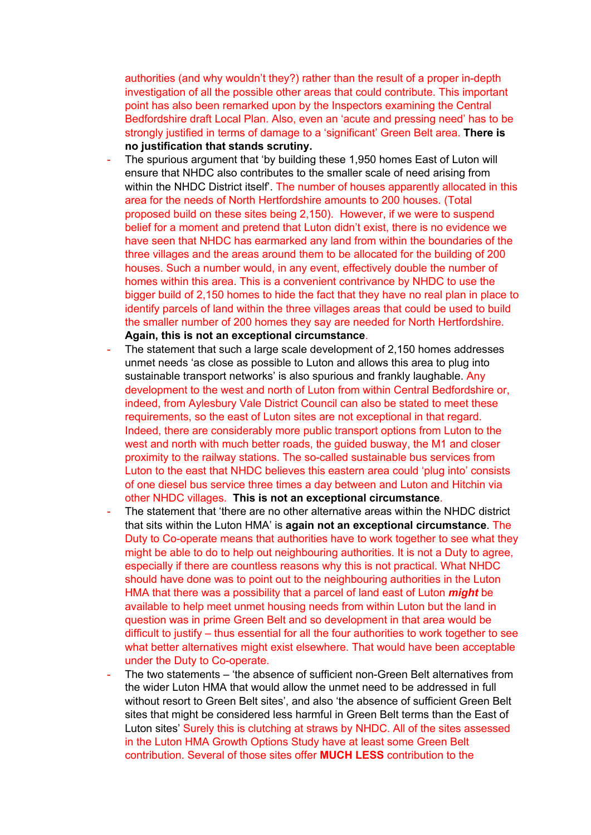authorities (and why wouldn't they?) rather than the result of a proper in-depth investigation of all the possible other areas that could contribute. This important point has also been remarked upon by the Inspectors examining the Central Bedfordshire draft Local Plan. Also, even an 'acute and pressing need' has to be strongly justified in terms of damage to a 'significant' Green Belt area. **There is no justification that stands scrutiny.**

- The spurious argument that 'by building these 1,950 homes East of Luton will ensure that NHDC also contributes to the smaller scale of need arising from within the NHDC District itself'. The number of houses apparently allocated in this area for the needs of North Hertfordshire amounts to 200 houses. (Total proposed build on these sites being 2,150). However, if we were to suspend belief for a moment and pretend that Luton didn't exist, there is no evidence we have seen that NHDC has earmarked any land from within the boundaries of the three villages and the areas around them to be allocated for the building of 200 houses. Such a number would, in any event, effectively double the number of homes within this area. This is a convenient contrivance by NHDC to use the bigger build of 2,150 homes to hide the fact that they have no real plan in place to identify parcels of land within the three villages areas that could be used to build the smaller number of 200 homes they say are needed for North Hertfordshire. **Again, this is not an exceptional circumstance**.
- The statement that such a large scale development of 2,150 homes addresses unmet needs 'as close as possible to Luton and allows this area to plug into sustainable transport networks' is also spurious and frankly laughable. Any development to the west and north of Luton from within Central Bedfordshire or, indeed, from Aylesbury Vale District Council can also be stated to meet these requirements, so the east of Luton sites are not exceptional in that regard. Indeed, there are considerably more public transport options from Luton to the west and north with much better roads, the guided busway, the M1 and closer proximity to the railway stations. The so-called sustainable bus services from Luton to the east that NHDC believes this eastern area could 'plug into' consists of one diesel bus service three times a day between and Luton and Hitchin via other NHDC villages. **This is not an exceptional circumstance**.
- The statement that 'there are no other alternative areas within the NHDC district that sits within the Luton HMA' is **again not an exceptional circumstance**. The Duty to Co-operate means that authorities have to work together to see what they might be able to do to help out neighbouring authorities. It is not a Duty to agree, especially if there are countless reasons why this is not practical. What NHDC should have done was to point out to the neighbouring authorities in the Luton HMA that there was a possibility that a parcel of land east of Luton *might* be available to help meet unmet housing needs from within Luton but the land in question was in prime Green Belt and so development in that area would be difficult to justify – thus essential for all the four authorities to work together to see what better alternatives might exist elsewhere. That would have been acceptable under the Duty to Co-operate.
- The two statements 'the absence of sufficient non-Green Belt alternatives from the wider Luton HMA that would allow the unmet need to be addressed in full without resort to Green Belt sites', and also 'the absence of sufficient Green Belt sites that might be considered less harmful in Green Belt terms than the East of Luton sites' Surely this is clutching at straws by NHDC. All of the sites assessed in the Luton HMA Growth Options Study have at least some Green Belt contribution. Several of those sites offer **MUCH LESS** contribution to the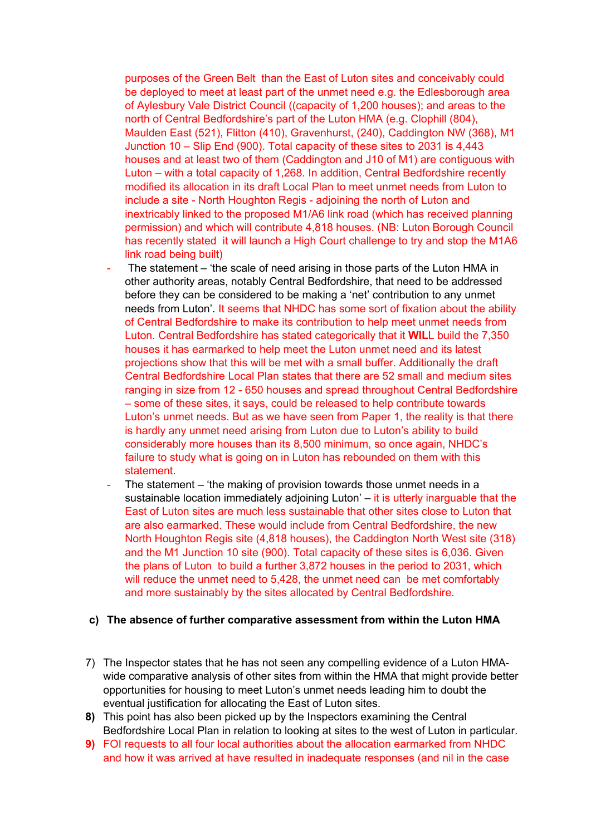purposes of the Green Belt than the East of Luton sites and conceivably could be deployed to meet at least part of the unmet need e.g. the Edlesborough area of Aylesbury Vale District Council ((capacity of 1,200 houses); and areas to the north of Central Bedfordshire's part of the Luton HMA (e.g. Clophill (804), Maulden East (521), Flitton (410), Gravenhurst, (240), Caddington NW (368), M1 Junction 10 – Slip End (900). Total capacity of these sites to 2031 is 4,443 houses and at least two of them (Caddington and J10 of M1) are contiguous with Luton – with a total capacity of 1,268. In addition, Central Bedfordshire recently modified its allocation in its draft Local Plan to meet unmet needs from Luton to include a site - North Houghton Regis - adjoining the north of Luton and inextricably linked to the proposed M1/A6 link road (which has received planning permission) and which will contribute 4,818 houses. (NB: Luton Borough Council has recently stated it will launch a High Court challenge to try and stop the M1A6 link road being built)

- The statement 'the scale of need arising in those parts of the Luton HMA in other authority areas, notably Central Bedfordshire, that need to be addressed before they can be considered to be making a 'net' contribution to any unmet needs from Luton'. It seems that NHDC has some sort of fixation about the ability of Central Bedfordshire to make its contribution to help meet unmet needs from Luton. Central Bedfordshire has stated categorically that it **WIL**L build the 7,350 houses it has earmarked to help meet the Luton unmet need and its latest projections show that this will be met with a small buffer. Additionally the draft Central Bedfordshire Local Plan states that there are 52 small and medium sites ranging in size from 12 - 650 houses and spread throughout Central Bedfordshire – some of these sites, it says, could be released to help contribute towards Luton's unmet needs. But as we have seen from Paper 1, the reality is that there is hardly any unmet need arising from Luton due to Luton's ability to build considerably more houses than its 8,500 minimum, so once again, NHDC's failure to study what is going on in Luton has rebounded on them with this statement.
- The statement  $-$  'the making of provision towards those unmet needs in a sustainable location immediately adjoining Luton' – it is utterly inarguable that the East of Luton sites are much less sustainable that other sites close to Luton that are also earmarked. These would include from Central Bedfordshire, the new North Houghton Regis site (4,818 houses), the Caddington North West site (318) and the M1 Junction 10 site (900). Total capacity of these sites is 6,036. Given the plans of Luton to build a further 3,872 houses in the period to 2031, which will reduce the unmet need to 5,428, the unmet need can be met comfortably and more sustainably by the sites allocated by Central Bedfordshire.

#### **c) The absence of further comparative assessment from within the Luton HMA**

- 7) The Inspector states that he has not seen any compelling evidence of a Luton HMAwide comparative analysis of other sites from within the HMA that might provide better opportunities for housing to meet Luton's unmet needs leading him to doubt the eventual justification for allocating the East of Luton sites.
- **8)** This point has also been picked up by the Inspectors examining the Central Bedfordshire Local Plan in relation to looking at sites to the west of Luton in particular.
- **9)** FOI requests to all four local authorities about the allocation earmarked from NHDC and how it was arrived at have resulted in inadequate responses (and nil in the case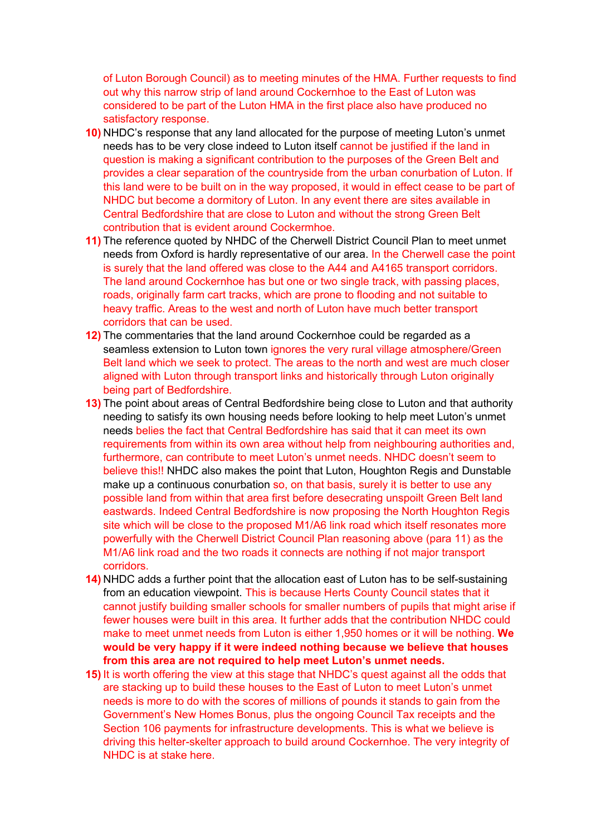of Luton Borough Council) as to meeting minutes of the HMA. Further requests to find out why this narrow strip of land around Cockernhoe to the East of Luton was considered to be part of the Luton HMA in the first place also have produced no satisfactory response.

- **10)** NHDC's response that any land allocated for the purpose of meeting Luton's unmet needs has to be very close indeed to Luton itself cannot be justified if the land in question is making a significant contribution to the purposes of the Green Belt and provides a clear separation of the countryside from the urban conurbation of Luton. If this land were to be built on in the way proposed, it would in effect cease to be part of NHDC but become a dormitory of Luton. In any event there are sites available in Central Bedfordshire that are close to Luton and without the strong Green Belt contribution that is evident around Cockermhoe.
- **11)** The reference quoted by NHDC of the Cherwell District Council Plan to meet unmet needs from Oxford is hardly representative of our area. In the Cherwell case the point is surely that the land offered was close to the A44 and A4165 transport corridors. The land around Cockernhoe has but one or two single track, with passing places, roads, originally farm cart tracks, which are prone to flooding and not suitable to heavy traffic. Areas to the west and north of Luton have much better transport corridors that can be used.
- **12)** The commentaries that the land around Cockernhoe could be regarded as a seamless extension to Luton town ignores the very rural village atmosphere/Green Belt land which we seek to protect. The areas to the north and west are much closer aligned with Luton through transport links and historically through Luton originally being part of Bedfordshire.
- **13)** The point about areas of Central Bedfordshire being close to Luton and that authority needing to satisfy its own housing needs before looking to help meet Luton's unmet needs belies the fact that Central Bedfordshire has said that it can meet its own requirements from within its own area without help from neighbouring authorities and, furthermore, can contribute to meet Luton's unmet needs. NHDC doesn't seem to believe this!! NHDC also makes the point that Luton, Houghton Regis and Dunstable make up a continuous conurbation so, on that basis, surely it is better to use any possible land from within that area first before desecrating unspoilt Green Belt land eastwards. Indeed Central Bedfordshire is now proposing the North Houghton Regis site which will be close to the proposed M1/A6 link road which itself resonates more powerfully with the Cherwell District Council Plan reasoning above (para 11) as the M1/A6 link road and the two roads it connects are nothing if not major transport corridors.
- **14)** NHDC adds a further point that the allocation east of Luton has to be self-sustaining from an education viewpoint. This is because Herts County Council states that it cannot justify building smaller schools for smaller numbers of pupils that might arise if fewer houses were built in this area. It further adds that the contribution NHDC could make to meet unmet needs from Luton is either 1,950 homes or it will be nothing. **We would be very happy if it were indeed nothing because we believe that houses from this area are not required to help meet Luton's unmet needs.**
- **15)** It is worth offering the view at this stage that NHDC's quest against all the odds that are stacking up to build these houses to the East of Luton to meet Luton's unmet needs is more to do with the scores of millions of pounds it stands to gain from the Government's New Homes Bonus, plus the ongoing Council Tax receipts and the Section 106 payments for infrastructure developments. This is what we believe is driving this helter-skelter approach to build around Cockernhoe. The very integrity of NHDC is at stake here.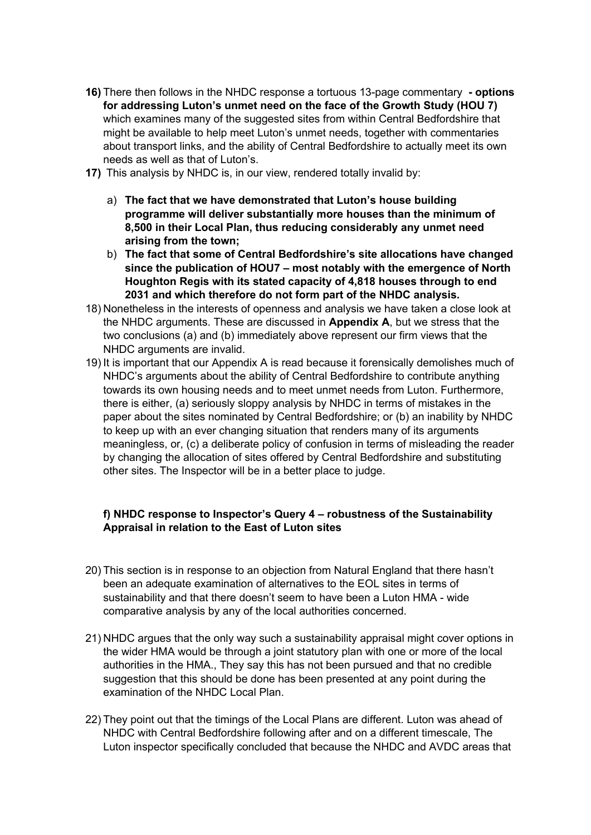- **16)** There then follows in the NHDC response a tortuous 13-page commentary **- options for addressing Luton's unmet need on the face of the Growth Study (HOU 7)**  which examines many of the suggested sites from within Central Bedfordshire that might be available to help meet Luton's unmet needs, together with commentaries about transport links, and the ability of Central Bedfordshire to actually meet its own needs as well as that of Luton's.
- **17)** This analysis by NHDC is, in our view, rendered totally invalid by:
	- a) **The fact that we have demonstrated that Luton's house building programme will deliver substantially more houses than the minimum of 8,500 in their Local Plan, thus reducing considerably any unmet need arising from the town;**
	- b) **The fact that some of Central Bedfordshire's site allocations have changed since the publication of HOU7 – most notably with the emergence of North Houghton Regis with its stated capacity of 4,818 houses through to end 2031 and which therefore do not form part of the NHDC analysis.**
- 18) Nonetheless in the interests of openness and analysis we have taken a close look at the NHDC arguments. These are discussed in **Appendix A**, but we stress that the two conclusions (a) and (b) immediately above represent our firm views that the NHDC arguments are invalid.
- 19) It is important that our Appendix A is read because it forensically demolishes much of NHDC's arguments about the ability of Central Bedfordshire to contribute anything towards its own housing needs and to meet unmet needs from Luton. Furthermore, there is either, (a) seriously sloppy analysis by NHDC in terms of mistakes in the paper about the sites nominated by Central Bedfordshire; or (b) an inability by NHDC to keep up with an ever changing situation that renders many of its arguments meaningless, or, (c) a deliberate policy of confusion in terms of misleading the reader by changing the allocation of sites offered by Central Bedfordshire and substituting other sites. The Inspector will be in a better place to judge.

# **f) NHDC response to Inspector's Query 4 – robustness of the Sustainability Appraisal in relation to the East of Luton sites**

- 20) This section is in response to an objection from Natural England that there hasn't been an adequate examination of alternatives to the EOL sites in terms of sustainability and that there doesn't seem to have been a Luton HMA - wide comparative analysis by any of the local authorities concerned.
- 21) NHDC argues that the only way such a sustainability appraisal might cover options in the wider HMA would be through a joint statutory plan with one or more of the local authorities in the HMA., They say this has not been pursued and that no credible suggestion that this should be done has been presented at any point during the examination of the NHDC Local Plan.
- 22) They point out that the timings of the Local Plans are different. Luton was ahead of NHDC with Central Bedfordshire following after and on a different timescale, The Luton inspector specifically concluded that because the NHDC and AVDC areas that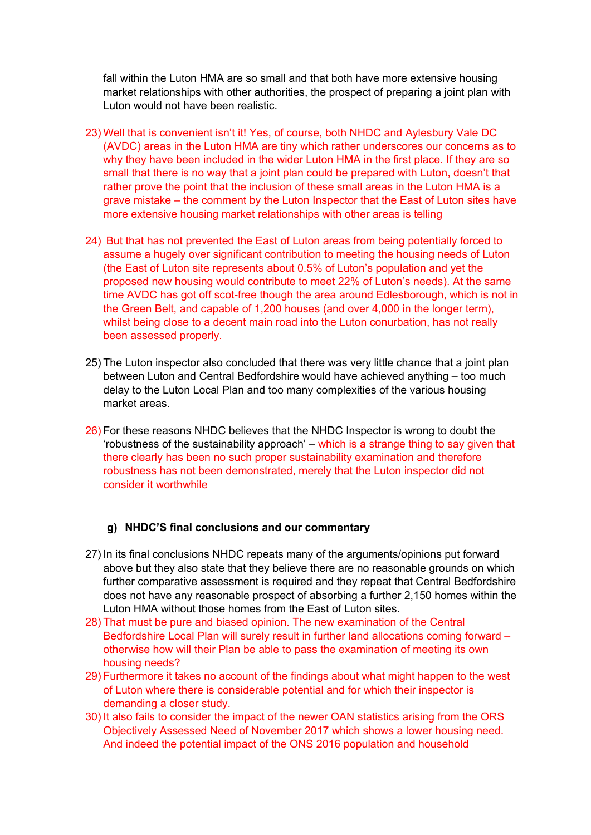fall within the Luton HMA are so small and that both have more extensive housing market relationships with other authorities, the prospect of preparing a joint plan with Luton would not have been realistic.

- 23) Well that is convenient isn't it! Yes, of course, both NHDC and Aylesbury Vale DC (AVDC) areas in the Luton HMA are tiny which rather underscores our concerns as to why they have been included in the wider Luton HMA in the first place. If they are so small that there is no way that a joint plan could be prepared with Luton, doesn't that rather prove the point that the inclusion of these small areas in the Luton HMA is a grave mistake – the comment by the Luton Inspector that the East of Luton sites have more extensive housing market relationships with other areas is telling
- 24) But that has not prevented the East of Luton areas from being potentially forced to assume a hugely over significant contribution to meeting the housing needs of Luton (the East of Luton site represents about 0.5% of Luton's population and yet the proposed new housing would contribute to meet 22% of Luton's needs). At the same time AVDC has got off scot-free though the area around Edlesborough, which is not in the Green Belt, and capable of 1,200 houses (and over 4,000 in the longer term), whilst being close to a decent main road into the Luton conurbation, has not really been assessed properly.
- 25) The Luton inspector also concluded that there was very little chance that a joint plan between Luton and Central Bedfordshire would have achieved anything – too much delay to the Luton Local Plan and too many complexities of the various housing market areas.
- 26) For these reasons NHDC believes that the NHDC Inspector is wrong to doubt the 'robustness of the sustainability approach' – which is a strange thing to say given that there clearly has been no such proper sustainability examination and therefore robustness has not been demonstrated, merely that the Luton inspector did not consider it worthwhile

### **g) NHDC'S final conclusions and our commentary**

- 27) In its final conclusions NHDC repeats many of the arguments/opinions put forward above but they also state that they believe there are no reasonable grounds on which further comparative assessment is required and they repeat that Central Bedfordshire does not have any reasonable prospect of absorbing a further 2,150 homes within the Luton HMA without those homes from the East of Luton sites.
- 28) That must be pure and biased opinion. The new examination of the Central Bedfordshire Local Plan will surely result in further land allocations coming forward – otherwise how will their Plan be able to pass the examination of meeting its own housing needs?
- 29) Furthermore it takes no account of the findings about what might happen to the west of Luton where there is considerable potential and for which their inspector is demanding a closer study.
- 30) It also fails to consider the impact of the newer OAN statistics arising from the ORS Objectively Assessed Need of November 2017 which shows a lower housing need. And indeed the potential impact of the ONS 2016 population and household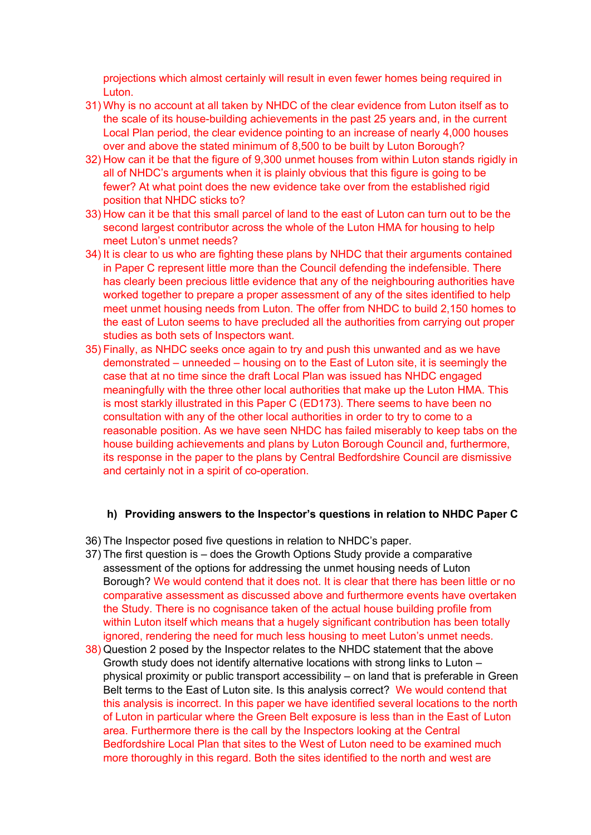projections which almost certainly will result in even fewer homes being required in Luton.

- 31) Why is no account at all taken by NHDC of the clear evidence from Luton itself as to the scale of its house-building achievements in the past 25 years and, in the current Local Plan period, the clear evidence pointing to an increase of nearly 4,000 houses over and above the stated minimum of 8,500 to be built by Luton Borough?
- 32) How can it be that the figure of 9,300 unmet houses from within Luton stands rigidly in all of NHDC's arguments when it is plainly obvious that this figure is going to be fewer? At what point does the new evidence take over from the established rigid position that NHDC sticks to?
- 33) How can it be that this small parcel of land to the east of Luton can turn out to be the second largest contributor across the whole of the Luton HMA for housing to help meet Luton's unmet needs?
- 34) It is clear to us who are fighting these plans by NHDC that their arguments contained in Paper C represent little more than the Council defending the indefensible. There has clearly been precious little evidence that any of the neighbouring authorities have worked together to prepare a proper assessment of any of the sites identified to help meet unmet housing needs from Luton. The offer from NHDC to build 2,150 homes to the east of Luton seems to have precluded all the authorities from carrying out proper studies as both sets of Inspectors want.
- 35) Finally, as NHDC seeks once again to try and push this unwanted and as we have demonstrated – unneeded – housing on to the East of Luton site, it is seemingly the case that at no time since the draft Local Plan was issued has NHDC engaged meaningfully with the three other local authorities that make up the Luton HMA. This is most starkly illustrated in this Paper C (ED173). There seems to have been no consultation with any of the other local authorities in order to try to come to a reasonable position. As we have seen NHDC has failed miserably to keep tabs on the house building achievements and plans by Luton Borough Council and, furthermore, its response in the paper to the plans by Central Bedfordshire Council are dismissive and certainly not in a spirit of co-operation.

### **h) Providing answers to the Inspector's questions in relation to NHDC Paper C**

- 36) The Inspector posed five questions in relation to NHDC's paper.
- 37) The first question is does the Growth Options Study provide a comparative assessment of the options for addressing the unmet housing needs of Luton Borough? We would contend that it does not. It is clear that there has been little or no comparative assessment as discussed above and furthermore events have overtaken the Study. There is no cognisance taken of the actual house building profile from within Luton itself which means that a hugely significant contribution has been totally ignored, rendering the need for much less housing to meet Luton's unmet needs.
- 38) Question 2 posed by the Inspector relates to the NHDC statement that the above Growth study does not identify alternative locations with strong links to Luton – physical proximity or public transport accessibility – on land that is preferable in Green Belt terms to the East of Luton site. Is this analysis correct? We would contend that this analysis is incorrect. In this paper we have identified several locations to the north of Luton in particular where the Green Belt exposure is less than in the East of Luton area. Furthermore there is the call by the Inspectors looking at the Central Bedfordshire Local Plan that sites to the West of Luton need to be examined much more thoroughly in this regard. Both the sites identified to the north and west are